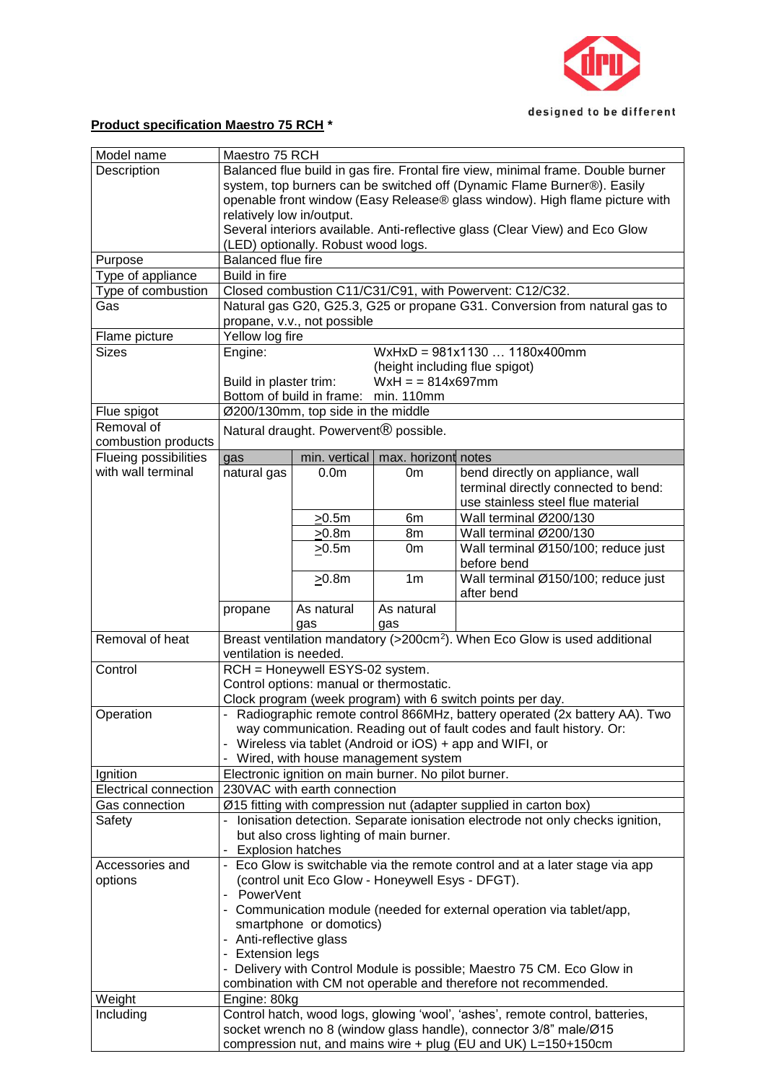

## **Product specification Maestro 75 RCH \***

| Description<br>system, top burners can be switched off (Dynamic Flame Burner®). Easily<br>relatively low in/output.<br>Several interiors available. Anti-reflective glass (Clear View) and Eco Glow<br>(LED) optionally. Robust wood logs.<br><b>Balanced flue fire</b><br>Purpose<br>Build in fire<br>Type of appliance<br>Closed combustion C11/C31/C91, with Powervent: C12/C32.<br>Type of combustion<br>Gas<br>propane, v.v., not possible<br>Yellow log fire<br>Flame picture<br>$WxHxD = 981x11301180x400mm$<br><b>Sizes</b><br>Engine:<br>(height including flue spigot)<br>$WxH = 814x697mm$<br>Build in plaster trim:<br>Bottom of build in frame:<br>min. 110mm<br>Ø200/130mm, top side in the middle<br>Flue spigot<br>Removal of<br>Natural draught. Powervent <sup>®</sup> possible.<br>combustion products<br>Flueing possibilities<br>min. vertical<br>max. horizont notes<br>gas<br>with wall terminal<br>natural gas<br>bend directly on appliance, wall<br>0.0 <sub>m</sub><br>0m<br>use stainless steel flue material<br>Wall terminal Ø200/130<br>>0.5m<br>6m<br>Wall terminal Ø200/130<br>>0.8m<br>8m<br>>0.5m<br>0m<br>before bend<br>$\geq 0.8$ m<br>1 <sub>m</sub> | Balanced flue build in gas fire. Frontal fire view, minimal frame. Double burner<br>openable front window (Easy Release® glass window). High flame picture with<br>Natural gas G20, G25.3, G25 or propane G31. Conversion from natural gas to<br>terminal directly connected to bend: |                                     | Model name<br>Maestro 75 RCH |                       |                                                                                       |  |  |  |  |  |  |
|---------------------------------------------------------------------------------------------------------------------------------------------------------------------------------------------------------------------------------------------------------------------------------------------------------------------------------------------------------------------------------------------------------------------------------------------------------------------------------------------------------------------------------------------------------------------------------------------------------------------------------------------------------------------------------------------------------------------------------------------------------------------------------------------------------------------------------------------------------------------------------------------------------------------------------------------------------------------------------------------------------------------------------------------------------------------------------------------------------------------------------------------------------------------------------------------|---------------------------------------------------------------------------------------------------------------------------------------------------------------------------------------------------------------------------------------------------------------------------------------|-------------------------------------|------------------------------|-----------------------|---------------------------------------------------------------------------------------|--|--|--|--|--|--|
|                                                                                                                                                                                                                                                                                                                                                                                                                                                                                                                                                                                                                                                                                                                                                                                                                                                                                                                                                                                                                                                                                                                                                                                             |                                                                                                                                                                                                                                                                                       |                                     |                              |                       |                                                                                       |  |  |  |  |  |  |
|                                                                                                                                                                                                                                                                                                                                                                                                                                                                                                                                                                                                                                                                                                                                                                                                                                                                                                                                                                                                                                                                                                                                                                                             |                                                                                                                                                                                                                                                                                       |                                     |                              |                       |                                                                                       |  |  |  |  |  |  |
|                                                                                                                                                                                                                                                                                                                                                                                                                                                                                                                                                                                                                                                                                                                                                                                                                                                                                                                                                                                                                                                                                                                                                                                             |                                                                                                                                                                                                                                                                                       |                                     |                              |                       |                                                                                       |  |  |  |  |  |  |
|                                                                                                                                                                                                                                                                                                                                                                                                                                                                                                                                                                                                                                                                                                                                                                                                                                                                                                                                                                                                                                                                                                                                                                                             |                                                                                                                                                                                                                                                                                       |                                     |                              |                       |                                                                                       |  |  |  |  |  |  |
|                                                                                                                                                                                                                                                                                                                                                                                                                                                                                                                                                                                                                                                                                                                                                                                                                                                                                                                                                                                                                                                                                                                                                                                             |                                                                                                                                                                                                                                                                                       |                                     |                              |                       |                                                                                       |  |  |  |  |  |  |
|                                                                                                                                                                                                                                                                                                                                                                                                                                                                                                                                                                                                                                                                                                                                                                                                                                                                                                                                                                                                                                                                                                                                                                                             |                                                                                                                                                                                                                                                                                       |                                     |                              |                       |                                                                                       |  |  |  |  |  |  |
|                                                                                                                                                                                                                                                                                                                                                                                                                                                                                                                                                                                                                                                                                                                                                                                                                                                                                                                                                                                                                                                                                                                                                                                             |                                                                                                                                                                                                                                                                                       |                                     |                              |                       |                                                                                       |  |  |  |  |  |  |
|                                                                                                                                                                                                                                                                                                                                                                                                                                                                                                                                                                                                                                                                                                                                                                                                                                                                                                                                                                                                                                                                                                                                                                                             |                                                                                                                                                                                                                                                                                       |                                     |                              |                       |                                                                                       |  |  |  |  |  |  |
|                                                                                                                                                                                                                                                                                                                                                                                                                                                                                                                                                                                                                                                                                                                                                                                                                                                                                                                                                                                                                                                                                                                                                                                             |                                                                                                                                                                                                                                                                                       |                                     |                              |                       |                                                                                       |  |  |  |  |  |  |
|                                                                                                                                                                                                                                                                                                                                                                                                                                                                                                                                                                                                                                                                                                                                                                                                                                                                                                                                                                                                                                                                                                                                                                                             |                                                                                                                                                                                                                                                                                       |                                     |                              |                       |                                                                                       |  |  |  |  |  |  |
|                                                                                                                                                                                                                                                                                                                                                                                                                                                                                                                                                                                                                                                                                                                                                                                                                                                                                                                                                                                                                                                                                                                                                                                             |                                                                                                                                                                                                                                                                                       |                                     |                              |                       |                                                                                       |  |  |  |  |  |  |
|                                                                                                                                                                                                                                                                                                                                                                                                                                                                                                                                                                                                                                                                                                                                                                                                                                                                                                                                                                                                                                                                                                                                                                                             |                                                                                                                                                                                                                                                                                       |                                     |                              |                       |                                                                                       |  |  |  |  |  |  |
|                                                                                                                                                                                                                                                                                                                                                                                                                                                                                                                                                                                                                                                                                                                                                                                                                                                                                                                                                                                                                                                                                                                                                                                             |                                                                                                                                                                                                                                                                                       |                                     |                              |                       |                                                                                       |  |  |  |  |  |  |
|                                                                                                                                                                                                                                                                                                                                                                                                                                                                                                                                                                                                                                                                                                                                                                                                                                                                                                                                                                                                                                                                                                                                                                                             |                                                                                                                                                                                                                                                                                       |                                     |                              |                       |                                                                                       |  |  |  |  |  |  |
|                                                                                                                                                                                                                                                                                                                                                                                                                                                                                                                                                                                                                                                                                                                                                                                                                                                                                                                                                                                                                                                                                                                                                                                             |                                                                                                                                                                                                                                                                                       |                                     |                              |                       |                                                                                       |  |  |  |  |  |  |
|                                                                                                                                                                                                                                                                                                                                                                                                                                                                                                                                                                                                                                                                                                                                                                                                                                                                                                                                                                                                                                                                                                                                                                                             |                                                                                                                                                                                                                                                                                       |                                     |                              |                       |                                                                                       |  |  |  |  |  |  |
|                                                                                                                                                                                                                                                                                                                                                                                                                                                                                                                                                                                                                                                                                                                                                                                                                                                                                                                                                                                                                                                                                                                                                                                             |                                                                                                                                                                                                                                                                                       |                                     |                              |                       |                                                                                       |  |  |  |  |  |  |
|                                                                                                                                                                                                                                                                                                                                                                                                                                                                                                                                                                                                                                                                                                                                                                                                                                                                                                                                                                                                                                                                                                                                                                                             |                                                                                                                                                                                                                                                                                       |                                     |                              |                       |                                                                                       |  |  |  |  |  |  |
|                                                                                                                                                                                                                                                                                                                                                                                                                                                                                                                                                                                                                                                                                                                                                                                                                                                                                                                                                                                                                                                                                                                                                                                             |                                                                                                                                                                                                                                                                                       |                                     |                              |                       |                                                                                       |  |  |  |  |  |  |
|                                                                                                                                                                                                                                                                                                                                                                                                                                                                                                                                                                                                                                                                                                                                                                                                                                                                                                                                                                                                                                                                                                                                                                                             |                                                                                                                                                                                                                                                                                       |                                     |                              |                       |                                                                                       |  |  |  |  |  |  |
|                                                                                                                                                                                                                                                                                                                                                                                                                                                                                                                                                                                                                                                                                                                                                                                                                                                                                                                                                                                                                                                                                                                                                                                             |                                                                                                                                                                                                                                                                                       |                                     |                              |                       |                                                                                       |  |  |  |  |  |  |
|                                                                                                                                                                                                                                                                                                                                                                                                                                                                                                                                                                                                                                                                                                                                                                                                                                                                                                                                                                                                                                                                                                                                                                                             |                                                                                                                                                                                                                                                                                       |                                     |                              |                       |                                                                                       |  |  |  |  |  |  |
|                                                                                                                                                                                                                                                                                                                                                                                                                                                                                                                                                                                                                                                                                                                                                                                                                                                                                                                                                                                                                                                                                                                                                                                             |                                                                                                                                                                                                                                                                                       |                                     |                              |                       |                                                                                       |  |  |  |  |  |  |
|                                                                                                                                                                                                                                                                                                                                                                                                                                                                                                                                                                                                                                                                                                                                                                                                                                                                                                                                                                                                                                                                                                                                                                                             |                                                                                                                                                                                                                                                                                       |                                     |                              |                       |                                                                                       |  |  |  |  |  |  |
|                                                                                                                                                                                                                                                                                                                                                                                                                                                                                                                                                                                                                                                                                                                                                                                                                                                                                                                                                                                                                                                                                                                                                                                             |                                                                                                                                                                                                                                                                                       |                                     |                              |                       |                                                                                       |  |  |  |  |  |  |
|                                                                                                                                                                                                                                                                                                                                                                                                                                                                                                                                                                                                                                                                                                                                                                                                                                                                                                                                                                                                                                                                                                                                                                                             |                                                                                                                                                                                                                                                                                       |                                     |                              |                       |                                                                                       |  |  |  |  |  |  |
|                                                                                                                                                                                                                                                                                                                                                                                                                                                                                                                                                                                                                                                                                                                                                                                                                                                                                                                                                                                                                                                                                                                                                                                             |                                                                                                                                                                                                                                                                                       |                                     |                              |                       |                                                                                       |  |  |  |  |  |  |
|                                                                                                                                                                                                                                                                                                                                                                                                                                                                                                                                                                                                                                                                                                                                                                                                                                                                                                                                                                                                                                                                                                                                                                                             |                                                                                                                                                                                                                                                                                       | Wall terminal Ø150/100; reduce just |                              |                       |                                                                                       |  |  |  |  |  |  |
|                                                                                                                                                                                                                                                                                                                                                                                                                                                                                                                                                                                                                                                                                                                                                                                                                                                                                                                                                                                                                                                                                                                                                                                             |                                                                                                                                                                                                                                                                                       |                                     |                              |                       |                                                                                       |  |  |  |  |  |  |
|                                                                                                                                                                                                                                                                                                                                                                                                                                                                                                                                                                                                                                                                                                                                                                                                                                                                                                                                                                                                                                                                                                                                                                                             | after bend                                                                                                                                                                                                                                                                            | Wall terminal Ø150/100; reduce just |                              |                       |                                                                                       |  |  |  |  |  |  |
| As natural<br>As natural<br>propane                                                                                                                                                                                                                                                                                                                                                                                                                                                                                                                                                                                                                                                                                                                                                                                                                                                                                                                                                                                                                                                                                                                                                         |                                                                                                                                                                                                                                                                                       |                                     |                              |                       |                                                                                       |  |  |  |  |  |  |
| gas<br>gas                                                                                                                                                                                                                                                                                                                                                                                                                                                                                                                                                                                                                                                                                                                                                                                                                                                                                                                                                                                                                                                                                                                                                                                  |                                                                                                                                                                                                                                                                                       |                                     |                              |                       |                                                                                       |  |  |  |  |  |  |
|                                                                                                                                                                                                                                                                                                                                                                                                                                                                                                                                                                                                                                                                                                                                                                                                                                                                                                                                                                                                                                                                                                                                                                                             |                                                                                                                                                                                                                                                                                       |                                     |                              |                       | Breast ventilation mandatory (>200cm <sup>2</sup> ). When Eco Glow is used additional |  |  |  |  |  |  |
|                                                                                                                                                                                                                                                                                                                                                                                                                                                                                                                                                                                                                                                                                                                                                                                                                                                                                                                                                                                                                                                                                                                                                                                             |                                                                                                                                                                                                                                                                                       | Removal of heat                     |                              |                       | ventilation is needed.                                                                |  |  |  |  |  |  |
|                                                                                                                                                                                                                                                                                                                                                                                                                                                                                                                                                                                                                                                                                                                                                                                                                                                                                                                                                                                                                                                                                                                                                                                             |                                                                                                                                                                                                                                                                                       |                                     |                              |                       |                                                                                       |  |  |  |  |  |  |
|                                                                                                                                                                                                                                                                                                                                                                                                                                                                                                                                                                                                                                                                                                                                                                                                                                                                                                                                                                                                                                                                                                                                                                                             | RCH = Honeywell ESYS-02 system.                                                                                                                                                                                                                                                       | Control                             |                              |                       |                                                                                       |  |  |  |  |  |  |
|                                                                                                                                                                                                                                                                                                                                                                                                                                                                                                                                                                                                                                                                                                                                                                                                                                                                                                                                                                                                                                                                                                                                                                                             | Control options: manual or thermostatic.                                                                                                                                                                                                                                              |                                     |                              |                       |                                                                                       |  |  |  |  |  |  |
|                                                                                                                                                                                                                                                                                                                                                                                                                                                                                                                                                                                                                                                                                                                                                                                                                                                                                                                                                                                                                                                                                                                                                                                             | Clock program (week program) with 6 switch points per day.                                                                                                                                                                                                                            |                                     |                              |                       |                                                                                       |  |  |  |  |  |  |
|                                                                                                                                                                                                                                                                                                                                                                                                                                                                                                                                                                                                                                                                                                                                                                                                                                                                                                                                                                                                                                                                                                                                                                                             | - Radiographic remote control 866MHz, battery operated (2x battery AA). Two                                                                                                                                                                                                           | Operation                           |                              |                       |                                                                                       |  |  |  |  |  |  |
|                                                                                                                                                                                                                                                                                                                                                                                                                                                                                                                                                                                                                                                                                                                                                                                                                                                                                                                                                                                                                                                                                                                                                                                             | way communication. Reading out of fault codes and fault history. Or:                                                                                                                                                                                                                  |                                     |                              |                       |                                                                                       |  |  |  |  |  |  |
|                                                                                                                                                                                                                                                                                                                                                                                                                                                                                                                                                                                                                                                                                                                                                                                                                                                                                                                                                                                                                                                                                                                                                                                             | - Wireless via tablet (Android or iOS) + app and WIFI, or                                                                                                                                                                                                                             |                                     |                              |                       |                                                                                       |  |  |  |  |  |  |
| Wired, with house management system                                                                                                                                                                                                                                                                                                                                                                                                                                                                                                                                                                                                                                                                                                                                                                                                                                                                                                                                                                                                                                                                                                                                                         |                                                                                                                                                                                                                                                                                       |                                     |                              |                       | Electronic ignition on main burner. No pilot burner.                                  |  |  |  |  |  |  |
| Ignition                                                                                                                                                                                                                                                                                                                                                                                                                                                                                                                                                                                                                                                                                                                                                                                                                                                                                                                                                                                                                                                                                                                                                                                    |                                                                                                                                                                                                                                                                                       |                                     |                              | Electrical connection | 230VAC with earth connection                                                          |  |  |  |  |  |  |
|                                                                                                                                                                                                                                                                                                                                                                                                                                                                                                                                                                                                                                                                                                                                                                                                                                                                                                                                                                                                                                                                                                                                                                                             |                                                                                                                                                                                                                                                                                       |                                     |                              | Gas connection        | Ø15 fitting with compression nut (adapter supplied in carton box)                     |  |  |  |  |  |  |
|                                                                                                                                                                                                                                                                                                                                                                                                                                                                                                                                                                                                                                                                                                                                                                                                                                                                                                                                                                                                                                                                                                                                                                                             |                                                                                                                                                                                                                                                                                       |                                     |                              |                       | Ξ.                                                                                    |  |  |  |  |  |  |
|                                                                                                                                                                                                                                                                                                                                                                                                                                                                                                                                                                                                                                                                                                                                                                                                                                                                                                                                                                                                                                                                                                                                                                                             |                                                                                                                                                                                                                                                                                       |                                     |                              |                       |                                                                                       |  |  |  |  |  |  |
| Safety<br>but also cross lighting of main burner.                                                                                                                                                                                                                                                                                                                                                                                                                                                                                                                                                                                                                                                                                                                                                                                                                                                                                                                                                                                                                                                                                                                                           | Ionisation detection. Separate ionisation electrode not only checks ignition,                                                                                                                                                                                                         |                                     |                              |                       |                                                                                       |  |  |  |  |  |  |
|                                                                                                                                                                                                                                                                                                                                                                                                                                                                                                                                                                                                                                                                                                                                                                                                                                                                                                                                                                                                                                                                                                                                                                                             |                                                                                                                                                                                                                                                                                       |                                     |                              | Accessories and       |                                                                                       |  |  |  |  |  |  |
| <b>Explosion hatches</b>                                                                                                                                                                                                                                                                                                                                                                                                                                                                                                                                                                                                                                                                                                                                                                                                                                                                                                                                                                                                                                                                                                                                                                    |                                                                                                                                                                                                                                                                                       |                                     |                              |                       |                                                                                       |  |  |  |  |  |  |
| - Eco Glow is switchable via the remote control and at a later stage via app                                                                                                                                                                                                                                                                                                                                                                                                                                                                                                                                                                                                                                                                                                                                                                                                                                                                                                                                                                                                                                                                                                                |                                                                                                                                                                                                                                                                                       |                                     |                              |                       |                                                                                       |  |  |  |  |  |  |
| (control unit Eco Glow - Honeywell Esys - DFGT).<br>options<br><b>PowerVent</b>                                                                                                                                                                                                                                                                                                                                                                                                                                                                                                                                                                                                                                                                                                                                                                                                                                                                                                                                                                                                                                                                                                             |                                                                                                                                                                                                                                                                                       |                                     |                              |                       |                                                                                       |  |  |  |  |  |  |
|                                                                                                                                                                                                                                                                                                                                                                                                                                                                                                                                                                                                                                                                                                                                                                                                                                                                                                                                                                                                                                                                                                                                                                                             |                                                                                                                                                                                                                                                                                       |                                     |                              |                       |                                                                                       |  |  |  |  |  |  |
| - Communication module (needed for external operation via tablet/app,                                                                                                                                                                                                                                                                                                                                                                                                                                                                                                                                                                                                                                                                                                                                                                                                                                                                                                                                                                                                                                                                                                                       |                                                                                                                                                                                                                                                                                       |                                     |                              |                       |                                                                                       |  |  |  |  |  |  |
| smartphone or domotics)                                                                                                                                                                                                                                                                                                                                                                                                                                                                                                                                                                                                                                                                                                                                                                                                                                                                                                                                                                                                                                                                                                                                                                     |                                                                                                                                                                                                                                                                                       |                                     |                              |                       |                                                                                       |  |  |  |  |  |  |
| - Anti-reflective glass                                                                                                                                                                                                                                                                                                                                                                                                                                                                                                                                                                                                                                                                                                                                                                                                                                                                                                                                                                                                                                                                                                                                                                     |                                                                                                                                                                                                                                                                                       |                                     |                              |                       |                                                                                       |  |  |  |  |  |  |
| - Extension legs                                                                                                                                                                                                                                                                                                                                                                                                                                                                                                                                                                                                                                                                                                                                                                                                                                                                                                                                                                                                                                                                                                                                                                            |                                                                                                                                                                                                                                                                                       |                                     |                              |                       |                                                                                       |  |  |  |  |  |  |
| - Delivery with Control Module is possible; Maestro 75 CM. Eco Glow in                                                                                                                                                                                                                                                                                                                                                                                                                                                                                                                                                                                                                                                                                                                                                                                                                                                                                                                                                                                                                                                                                                                      |                                                                                                                                                                                                                                                                                       |                                     |                              |                       |                                                                                       |  |  |  |  |  |  |
| combination with CM not operable and therefore not recommended.                                                                                                                                                                                                                                                                                                                                                                                                                                                                                                                                                                                                                                                                                                                                                                                                                                                                                                                                                                                                                                                                                                                             |                                                                                                                                                                                                                                                                                       |                                     |                              |                       |                                                                                       |  |  |  |  |  |  |
| Weight<br>Engine: 80kg                                                                                                                                                                                                                                                                                                                                                                                                                                                                                                                                                                                                                                                                                                                                                                                                                                                                                                                                                                                                                                                                                                                                                                      |                                                                                                                                                                                                                                                                                       |                                     |                              |                       |                                                                                       |  |  |  |  |  |  |
| Control hatch, wood logs, glowing 'wool', 'ashes', remote control, batteries,<br>Including<br>socket wrench no 8 (window glass handle), connector 3/8" male/Ø15                                                                                                                                                                                                                                                                                                                                                                                                                                                                                                                                                                                                                                                                                                                                                                                                                                                                                                                                                                                                                             |                                                                                                                                                                                                                                                                                       |                                     |                              |                       |                                                                                       |  |  |  |  |  |  |
|                                                                                                                                                                                                                                                                                                                                                                                                                                                                                                                                                                                                                                                                                                                                                                                                                                                                                                                                                                                                                                                                                                                                                                                             |                                                                                                                                                                                                                                                                                       |                                     |                              |                       |                                                                                       |  |  |  |  |  |  |
|                                                                                                                                                                                                                                                                                                                                                                                                                                                                                                                                                                                                                                                                                                                                                                                                                                                                                                                                                                                                                                                                                                                                                                                             |                                                                                                                                                                                                                                                                                       |                                     |                              |                       |                                                                                       |  |  |  |  |  |  |
|                                                                                                                                                                                                                                                                                                                                                                                                                                                                                                                                                                                                                                                                                                                                                                                                                                                                                                                                                                                                                                                                                                                                                                                             |                                                                                                                                                                                                                                                                                       |                                     |                              |                       |                                                                                       |  |  |  |  |  |  |
|                                                                                                                                                                                                                                                                                                                                                                                                                                                                                                                                                                                                                                                                                                                                                                                                                                                                                                                                                                                                                                                                                                                                                                                             |                                                                                                                                                                                                                                                                                       |                                     |                              |                       |                                                                                       |  |  |  |  |  |  |
|                                                                                                                                                                                                                                                                                                                                                                                                                                                                                                                                                                                                                                                                                                                                                                                                                                                                                                                                                                                                                                                                                                                                                                                             |                                                                                                                                                                                                                                                                                       |                                     |                              |                       |                                                                                       |  |  |  |  |  |  |
|                                                                                                                                                                                                                                                                                                                                                                                                                                                                                                                                                                                                                                                                                                                                                                                                                                                                                                                                                                                                                                                                                                                                                                                             |                                                                                                                                                                                                                                                                                       |                                     |                              |                       |                                                                                       |  |  |  |  |  |  |
|                                                                                                                                                                                                                                                                                                                                                                                                                                                                                                                                                                                                                                                                                                                                                                                                                                                                                                                                                                                                                                                                                                                                                                                             |                                                                                                                                                                                                                                                                                       |                                     |                              |                       |                                                                                       |  |  |  |  |  |  |
|                                                                                                                                                                                                                                                                                                                                                                                                                                                                                                                                                                                                                                                                                                                                                                                                                                                                                                                                                                                                                                                                                                                                                                                             |                                                                                                                                                                                                                                                                                       |                                     |                              |                       |                                                                                       |  |  |  |  |  |  |
|                                                                                                                                                                                                                                                                                                                                                                                                                                                                                                                                                                                                                                                                                                                                                                                                                                                                                                                                                                                                                                                                                                                                                                                             |                                                                                                                                                                                                                                                                                       |                                     |                              |                       |                                                                                       |  |  |  |  |  |  |
|                                                                                                                                                                                                                                                                                                                                                                                                                                                                                                                                                                                                                                                                                                                                                                                                                                                                                                                                                                                                                                                                                                                                                                                             |                                                                                                                                                                                                                                                                                       |                                     |                              |                       |                                                                                       |  |  |  |  |  |  |
|                                                                                                                                                                                                                                                                                                                                                                                                                                                                                                                                                                                                                                                                                                                                                                                                                                                                                                                                                                                                                                                                                                                                                                                             |                                                                                                                                                                                                                                                                                       |                                     |                              |                       |                                                                                       |  |  |  |  |  |  |
|                                                                                                                                                                                                                                                                                                                                                                                                                                                                                                                                                                                                                                                                                                                                                                                                                                                                                                                                                                                                                                                                                                                                                                                             |                                                                                                                                                                                                                                                                                       |                                     |                              |                       |                                                                                       |  |  |  |  |  |  |
|                                                                                                                                                                                                                                                                                                                                                                                                                                                                                                                                                                                                                                                                                                                                                                                                                                                                                                                                                                                                                                                                                                                                                                                             |                                                                                                                                                                                                                                                                                       |                                     |                              |                       |                                                                                       |  |  |  |  |  |  |
|                                                                                                                                                                                                                                                                                                                                                                                                                                                                                                                                                                                                                                                                                                                                                                                                                                                                                                                                                                                                                                                                                                                                                                                             |                                                                                                                                                                                                                                                                                       |                                     |                              |                       |                                                                                       |  |  |  |  |  |  |
|                                                                                                                                                                                                                                                                                                                                                                                                                                                                                                                                                                                                                                                                                                                                                                                                                                                                                                                                                                                                                                                                                                                                                                                             |                                                                                                                                                                                                                                                                                       |                                     |                              |                       |                                                                                       |  |  |  |  |  |  |
|                                                                                                                                                                                                                                                                                                                                                                                                                                                                                                                                                                                                                                                                                                                                                                                                                                                                                                                                                                                                                                                                                                                                                                                             |                                                                                                                                                                                                                                                                                       |                                     |                              |                       |                                                                                       |  |  |  |  |  |  |
|                                                                                                                                                                                                                                                                                                                                                                                                                                                                                                                                                                                                                                                                                                                                                                                                                                                                                                                                                                                                                                                                                                                                                                                             |                                                                                                                                                                                                                                                                                       |                                     |                              |                       |                                                                                       |  |  |  |  |  |  |
|                                                                                                                                                                                                                                                                                                                                                                                                                                                                                                                                                                                                                                                                                                                                                                                                                                                                                                                                                                                                                                                                                                                                                                                             |                                                                                                                                                                                                                                                                                       |                                     |                              |                       |                                                                                       |  |  |  |  |  |  |
|                                                                                                                                                                                                                                                                                                                                                                                                                                                                                                                                                                                                                                                                                                                                                                                                                                                                                                                                                                                                                                                                                                                                                                                             |                                                                                                                                                                                                                                                                                       |                                     |                              |                       |                                                                                       |  |  |  |  |  |  |
|                                                                                                                                                                                                                                                                                                                                                                                                                                                                                                                                                                                                                                                                                                                                                                                                                                                                                                                                                                                                                                                                                                                                                                                             |                                                                                                                                                                                                                                                                                       |                                     |                              |                       |                                                                                       |  |  |  |  |  |  |
|                                                                                                                                                                                                                                                                                                                                                                                                                                                                                                                                                                                                                                                                                                                                                                                                                                                                                                                                                                                                                                                                                                                                                                                             |                                                                                                                                                                                                                                                                                       |                                     |                              |                       |                                                                                       |  |  |  |  |  |  |
|                                                                                                                                                                                                                                                                                                                                                                                                                                                                                                                                                                                                                                                                                                                                                                                                                                                                                                                                                                                                                                                                                                                                                                                             |                                                                                                                                                                                                                                                                                       |                                     |                              |                       |                                                                                       |  |  |  |  |  |  |
|                                                                                                                                                                                                                                                                                                                                                                                                                                                                                                                                                                                                                                                                                                                                                                                                                                                                                                                                                                                                                                                                                                                                                                                             |                                                                                                                                                                                                                                                                                       |                                     |                              |                       |                                                                                       |  |  |  |  |  |  |
|                                                                                                                                                                                                                                                                                                                                                                                                                                                                                                                                                                                                                                                                                                                                                                                                                                                                                                                                                                                                                                                                                                                                                                                             |                                                                                                                                                                                                                                                                                       |                                     |                              |                       |                                                                                       |  |  |  |  |  |  |
|                                                                                                                                                                                                                                                                                                                                                                                                                                                                                                                                                                                                                                                                                                                                                                                                                                                                                                                                                                                                                                                                                                                                                                                             |                                                                                                                                                                                                                                                                                       |                                     |                              |                       |                                                                                       |  |  |  |  |  |  |
|                                                                                                                                                                                                                                                                                                                                                                                                                                                                                                                                                                                                                                                                                                                                                                                                                                                                                                                                                                                                                                                                                                                                                                                             |                                                                                                                                                                                                                                                                                       |                                     |                              |                       |                                                                                       |  |  |  |  |  |  |
|                                                                                                                                                                                                                                                                                                                                                                                                                                                                                                                                                                                                                                                                                                                                                                                                                                                                                                                                                                                                                                                                                                                                                                                             |                                                                                                                                                                                                                                                                                       |                                     |                              |                       |                                                                                       |  |  |  |  |  |  |
|                                                                                                                                                                                                                                                                                                                                                                                                                                                                                                                                                                                                                                                                                                                                                                                                                                                                                                                                                                                                                                                                                                                                                                                             |                                                                                                                                                                                                                                                                                       |                                     |                              |                       |                                                                                       |  |  |  |  |  |  |
|                                                                                                                                                                                                                                                                                                                                                                                                                                                                                                                                                                                                                                                                                                                                                                                                                                                                                                                                                                                                                                                                                                                                                                                             |                                                                                                                                                                                                                                                                                       |                                     |                              |                       |                                                                                       |  |  |  |  |  |  |
|                                                                                                                                                                                                                                                                                                                                                                                                                                                                                                                                                                                                                                                                                                                                                                                                                                                                                                                                                                                                                                                                                                                                                                                             |                                                                                                                                                                                                                                                                                       |                                     |                              |                       |                                                                                       |  |  |  |  |  |  |
|                                                                                                                                                                                                                                                                                                                                                                                                                                                                                                                                                                                                                                                                                                                                                                                                                                                                                                                                                                                                                                                                                                                                                                                             |                                                                                                                                                                                                                                                                                       |                                     |                              |                       |                                                                                       |  |  |  |  |  |  |
|                                                                                                                                                                                                                                                                                                                                                                                                                                                                                                                                                                                                                                                                                                                                                                                                                                                                                                                                                                                                                                                                                                                                                                                             |                                                                                                                                                                                                                                                                                       |                                     |                              |                       |                                                                                       |  |  |  |  |  |  |